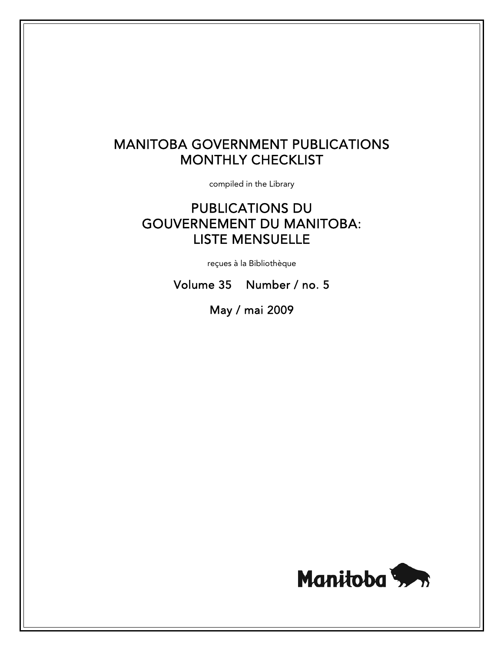# MANITOBA GOVERNMENT PUBLICATIONS MONTHLY CHECKLIST

compiled in the Library

# PUBLICATIONS DU GOUVERNEMENT DU MANITOBA: LISTE MENSUELLE

reçues à la Bibliothèque

Volume 35 Number / no. 5

May / mai 2009

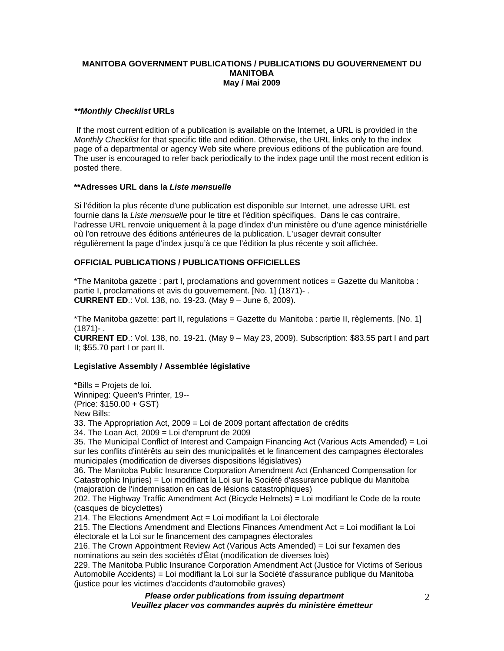## **MANITOBA GOVERNMENT PUBLICATIONS / PUBLICATIONS DU GOUVERNEMENT DU MANITOBA May / Mai 2009**

# *\*\*Monthly Checklist* **URLs**

 If the most current edition of a publication is available on the Internet, a URL is provided in the *Monthly Checklist* for that specific title and edition. Otherwise, the URL links only to the index page of a departmental or agency Web site where previous editions of the publication are found. The user is encouraged to refer back periodically to the index page until the most recent edition is posted there.

#### **\*\*Adresses URL dans la** *Liste mensuelle*

Si l'édition la plus récente d'une publication est disponible sur Internet, une adresse URL est fournie dans la *Liste mensuelle* pour le titre et l'édition spécifiques. Dans le cas contraire, l'adresse URL renvoie uniquement à la page d'index d'un ministère ou d'une agence ministérielle où l'on retrouve des éditions antérieures de la publication. L'usager devrait consulter régulièrement la page d'index jusqu'à ce que l'édition la plus récente y soit affichée.

# **OFFICIAL PUBLICATIONS / PUBLICATIONS OFFICIELLES**

\*The Manitoba gazette : part I, proclamations and government notices = Gazette du Manitoba : partie I, proclamations et avis du gouvernement. [No. 1] (1871)- . **CURRENT ED**.: Vol. 138, no. 19-23. (May 9 – June 6, 2009).

\*The Manitoba gazette: part II, regulations = Gazette du Manitoba : partie II, règlements. [No. 1] (1871)- .

**CURRENT ED**.: Vol. 138, no. 19-21. (May 9 – May 23, 2009). Subscription: \$83.55 part I and part II; \$55.70 part I or part II.

#### **Legislative Assembly / Assemblée législative**

\*Bills = Projets de loi. Winnipeg: Queen's Printer, 19-- (Price: \$150.00 + GST) New Bills: 33. The Appropriation Act, 2009 = Loi de 2009 portant affectation de crédits 34. The Loan Act, 2009 = Loi d'emprunt de 2009 35. The Municipal Conflict of Interest and Campaign Financing Act (Various Acts Amended) = Loi sur les conflits d'intérêts au sein des municipalités et le financement des campagnes électorales municipales (modification de diverses dispositions législatives) 36. The Manitoba Public Insurance Corporation Amendment Act (Enhanced Compensation for Catastrophic Injuries) = Loi modifiant la Loi sur la Société d'assurance publique du Manitoba (majoration de l'indemnisation en cas de lésions catastrophiques) 202. The Highway Traffic Amendment Act (Bicycle Helmets) = Loi modifiant le Code de la route (casques de bicyclettes) 214. The Elections Amendment  $Act = Loi$  modifiant la Loi électorale 215. The Elections Amendment and Elections Finances Amendment Act = Loi modifiant la Loi électorale et la Loi sur le financement des campagnes électorales 216. The Crown Appointment Review Act (Various Acts Amended) = Loi sur l'examen des nominations au sein des sociétés d'État (modification de diverses lois) 229. The Manitoba Public Insurance Corporation Amendment Act (Justice for Victims of Serious Automobile Accidents) = Loi modifiant la Loi sur la Société d'assurance publique du Manitoba

*Please order publications from issuing department Veuillez placer vos commandes auprès du ministère émetteur* (justice pour les victimes d'accidents d'automobile graves)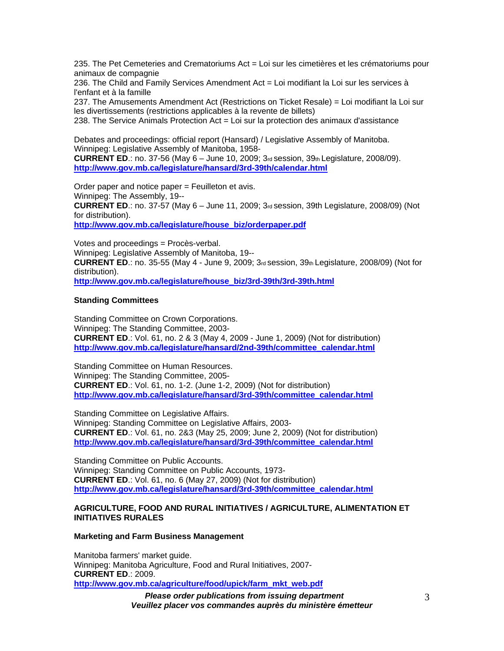235. The Pet Cemeteries and Crematoriums Act = Loi sur les cimetières et les crématoriums pour animaux de compagnie

236. The Child and Family Services Amendment Act = Loi modifiant la Loi sur les services à l'enfant et à la famille

237. The Amusements Amendment Act (Restrictions on Ticket Resale) = Loi modifiant la Loi sur les divertissements (restrictions applicables à la revente de billets)

238. The Service Animals Protection Act = Loi sur la protection des animaux d'assistance

Debates and proceedings: official report (Hansard) / Legislative Assembly of Manitoba. Winnipeg: Legislative Assembly of Manitoba, 1958- **CURRENT ED**.: no. 37-56 (May 6 – June 10, 2009; 3rd session, 39th Legislature, 2008/09).

**[http://www.gov.mb.ca/legislature/hansard/3rd-39th/calendar.html](https://www.gov.mb.ca/legislature/hansard/3rd-39th/calendar.html)**

Order paper and notice paper = Feuilleton et avis. Winnipeg: The Assembly, 19-- **CURRENT ED**.: no. 37-57 (May 6 – June 11, 2009; 3rd session, 39th Legislature, 2008/09) (Not for distribution). **[http://www.gov.mb.ca/legislature/house\\_biz/orderpaper.pdf](https://www.gov.mb.ca/legislature/house_biz/orderpaper.pdf)**

Votes and proceedings = Procès-verbal. Winnipeg: Legislative Assembly of Manitoba, 19-- **CURRENT ED**.: no. 35-55 (May 4 - June 9, 2009; 3rd session, 39th Legislature, 2008/09) (Not for distribution). **[http://www.gov.mb.ca/legislature/house\\_biz/3rd-39th/3rd-39th.html](https://www.gov.mb.ca/legislature/house_biz/3rd-39th/3rd-39th.html)**

## **Standing Committees**

Standing Committee on Crown Corporations. Winnipeg: The Standing Committee, 2003- **CURRENT ED**.: Vol. 61, no. 2 & 3 (May 4, 2009 - June 1, 2009) (Not for distribution) **[http://www.gov.mb.ca/legislature/hansard/2nd-39th/committee\\_calendar.html](https://www.gov.mb.ca/legislature/hansard/2nd-39th/committee_calendar.html)**

Standing Committee on Human Resources. Winnipeg: The Standing Committee, 2005- **CURRENT ED**.: Vol. 61, no. 1-2. (June 1-2, 2009) (Not for distribution) **[http://www.gov.mb.ca/legislature/hansard/3rd-39th/committee\\_calendar.html](https://www.gov.mb.ca/legislature/hansard/3rd-39th/committee_calendar.html)**

Standing Committee on Legislative Affairs. Winnipeg: Standing Committee on Legislative Affairs, 2003- **CURRENT ED**.: Vol. 61, no. 2&3 (May 25, 2009; June 2, 2009) (Not for distribution) **[http://www.gov.mb.ca/legislature/hansard/3rd-39th/committee\\_calendar.html](https://www.gov.mb.ca/legislature/hansard/3rd-39th/committee_calendar.html)**

Standing Committee on Public Accounts. Winnipeg: Standing Committee on Public Accounts, 1973- **CURRENT ED**.: Vol. 61, no. 6 (May 27, 2009) (Not for distribution) **[http://www.gov.mb.ca/legislature/hansard/3rd-39th/committee\\_calendar.html](https://www.gov.mb.ca/legislature/hansard/3rd-39th/committee_calendar.html)**

#### **AGRICULTURE, FOOD AND RURAL INITIATIVES / AGRICULTURE, ALIMENTATION ET INITIATIVES RURALES**

#### **Marketing and Farm Business Management**

Manitoba farmers' market guide. Winnipeg: Manitoba Agriculture, Food and Rural Initiatives, 2007- **CURRENT ED**.: 2009. **[http://www.gov.mb.ca/agriculture/food/upick/farm\\_mkt\\_web.pdf](https://www.gov.mb.ca/agriculture/food/upick/farm_mkt_web.pdf)**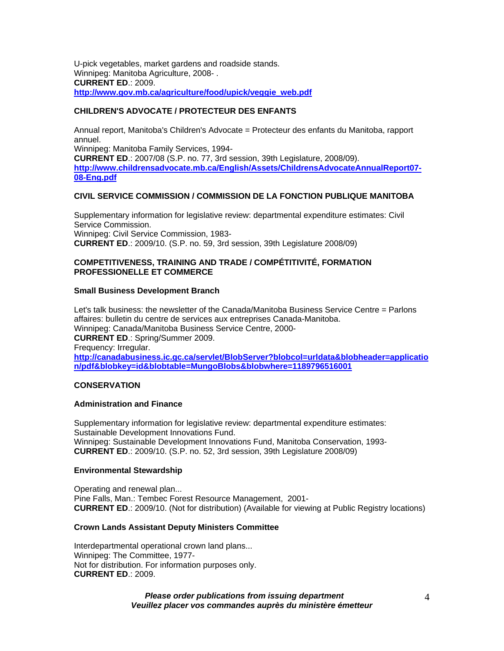U-pick vegetables, market gardens and roadside stands. Winnipeg: Manitoba Agriculture, 2008- . **CURRENT ED**.: 2009. **[http://www.gov.mb.ca/agriculture/food/upick/veggie\\_web.pdf](https://www.gov.mb.ca/agriculture/food/upick/veggie_web.pdf)**

# **CHILDREN'S ADVOCATE / PROTECTEUR DES ENFANTS**

Annual report, Manitoba's Children's Advocate = Protecteur des enfants du Manitoba, rapport annuel. Winnipeg: Manitoba Family Services, 1994- **CURRENT ED**.: 2007/08 (S.P. no. 77, 3rd session, 39th Legislature, 2008/09). **[http://www.childrensadvocate.mb.ca/English/Assets/ChildrensAdvocateAnnualReport07-](http://www.childrensadvocate.mb.ca/English/Assets/ChildrensAdvocateAnnualReport07-08-Eng.pdf) [08-Eng.pdf](http://www.childrensadvocate.mb.ca/English/Assets/ChildrensAdvocateAnnualReport07-08-Eng.pdf)**

## **CIVIL SERVICE COMMISSION / COMMISSION DE LA FONCTION PUBLIQUE MANITOBA**

Supplementary information for legislative review: departmental expenditure estimates: Civil Service Commission. Winnipeg: Civil Service Commission, 1983- **CURRENT ED**.: 2009/10. (S.P. no. 59, 3rd session, 39th Legislature 2008/09)

## **COMPETITIVENESS, TRAINING AND TRADE / COMPÉTITIVITÉ, FORMATION PROFESSIONELLE ET COMMERCE**

## **Small Business Development Branch**

Let's talk business: the newsletter of the Canada/Manitoba Business Service Centre = Parlons affaires: bulletin du centre de services aux entreprises Canada-Manitoba. Winnipeg: Canada/Manitoba Business Service Centre, 2000- **CURRENT ED**.: Spring/Summer 2009. Frequency: Irregular. **[http://canadabusiness.ic.gc.ca/servlet/BlobServer?blobcol=urldata&blobheader=applicatio](http://canadabusiness.ic.gc.ca/servlet/BlobServer?blobcol=urldata&blobheader=application/pdf&blobkey=id&blobtable=MungoBlobs&blobwhere=1189796516001) [n/pdf&blobkey=id&blobtable=MungoBlobs&blobwhere=1189796516001](http://canadabusiness.ic.gc.ca/servlet/BlobServer?blobcol=urldata&blobheader=application/pdf&blobkey=id&blobtable=MungoBlobs&blobwhere=1189796516001)**

## **CONSERVATION**

#### **Administration and Finance**

Supplementary information for legislative review: departmental expenditure estimates: Sustainable Development Innovations Fund. Winnipeg: Sustainable Development Innovations Fund, Manitoba Conservation, 1993- **CURRENT ED**.: 2009/10. (S.P. no. 52, 3rd session, 39th Legislature 2008/09)

#### **Environmental Stewardship**

Operating and renewal plan... Pine Falls, Man.: Tembec Forest Resource Management, 2001- **CURRENT ED**.: 2009/10. (Not for distribution) (Available for viewing at Public Registry locations)

# **Crown Lands Assistant Deputy Ministers Committee**

Interdepartmental operational crown land plans... Winnipeg: The Committee, 1977- Not for distribution. For information purposes only. **CURRENT ED**.: 2009.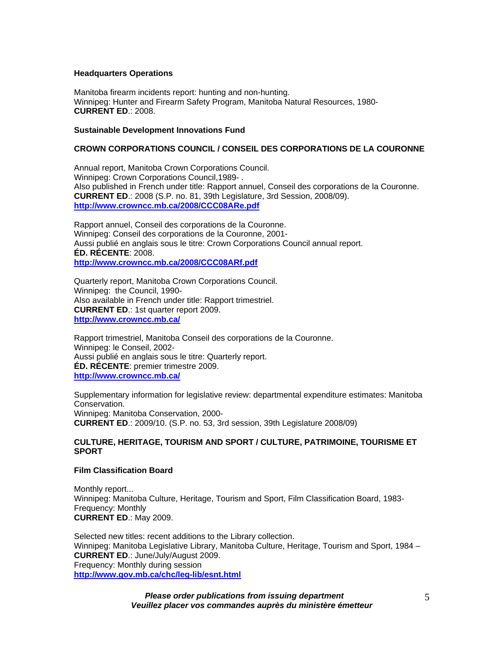#### **Headquarters Operations**

Manitoba firearm incidents report: hunting and non-hunting. Winnipeg: Hunter and Firearm Safety Program, Manitoba Natural Resources, 1980- **CURRENT ED**.: 2008.

#### **Sustainable Development Innovations Fund**

## **CROWN CORPORATIONS COUNCIL / CONSEIL DES CORPORATIONS DE LA COURONNE**

Annual report, Manitoba Crown Corporations Council. Winnipeg: Crown Corporations Council,1989- . Also published in French under title: Rapport annuel, Conseil des corporations de la Couronne. **CURRENT ED**.: 2008 (S.P. no. 81, 39th Legislature, 3rd Session, 2008/09). **<http://www.crowncc.mb.ca/2008/CCC08ARe.pdf>**

Rapport annuel, Conseil des corporations de la Couronne. Winnipeg: Conseil des corporations de la Couronne, 2001- Aussi publié en anglais sous le titre: Crown Corporations Council annual report. **ÉD. RÉCENTE**: 2008. **<http://www.crowncc.mb.ca/2008/CCC08ARf.pdf>**

Quarterly report, Manitoba Crown Corporations Council. Winnipeg: the Council, 1990- Also available in French under title: Rapport trimestriel. **CURRENT ED**.: 1st quarter report 2009. **<http://www.crowncc.mb.ca/>**

Rapport trimestriel, Manitoba Conseil des corporations de la Couronne. Winnipeg: le Conseil, 2002- Aussi publié en anglais sous le titre: Quarterly report. **ÉD. RÉCENTE**: premier trimestre 2009. **<http://www.crowncc.mb.ca/>**

Supplementary information for legislative review: departmental expenditure estimates: Manitoba Conservation. Winnipeg: Manitoba Conservation, 2000- **CURRENT ED**.: 2009/10. (S.P. no. 53, 3rd session, 39th Legislature 2008/09)

#### **CULTURE, HERITAGE, TOURISM AND SPORT / CULTURE, PATRIMOINE, TOURISME ET SPORT**

#### **Film Classification Board**

Monthly report... Winnipeg: Manitoba Culture, Heritage, Tourism and Sport, Film Classification Board, 1983- Frequency: Monthly **CURRENT ED**.: May 2009.

Selected new titles: recent additions to the Library collection. Winnipeg: Manitoba Legislative Library, Manitoba Culture, Heritage, Tourism and Sport, 1984 – **CURRENT ED**.: June/July/August 2009. Frequency: Monthly during session **[http://www.gov.mb.ca/chc/leg-lib/esnt.html](https://www.gov.mb.ca/chc/leg-lib/esnt.html)**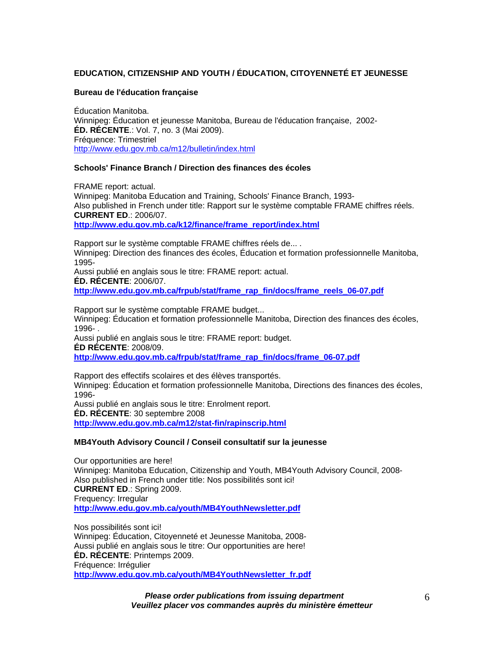# **EDUCATION, CITIZENSHIP AND YOUTH / ÉDUCATION, CITOYENNETÉ ET JEUNESSE**

#### **Bureau de l'éducation française**

Éducation Manitoba. Winnipeg: Éducation et jeunesse Manitoba, Bureau de l'éducation française, 2002- **ÉD. RÉCENTE**.: Vol. 7, no. 3 (Mai 2009). Fréquence: Trimestriel <http://www.edu.gov.mb.ca/m12/bulletin/index.html>

## **Schools' Finance Branch / Direction des finances des écoles**

FRAME report: actual. Winnipeg: Manitoba Education and Training, Schools' Finance Branch, 1993- Also published in French under title: Rapport sur le système comptable FRAME chiffres réels. **CURRENT ED**.: 2006/07. **[http://www.edu.gov.mb.ca/k12/finance/frame\\_report/index.html](http://www.edu.gov.mb.ca/k12/finance/frame_report/index.html)**

Rapport sur le système comptable FRAME chiffres réels de... . Winnipeg: Direction des finances des écoles, Éducation et formation professionnelle Manitoba, 1995-

Aussi publié en anglais sous le titre: FRAME report: actual. **ÉD. RÉCENTE**: 2006/07. **[http://www.edu.gov.mb.ca/frpub/stat/frame\\_rap\\_fin/docs/frame\\_reels\\_06-07.pdf](http://www.edu.gov.mb.ca/frpub/stat/frame_rap_fin/docs/frame_reels_06-07.pdf)**

Rapport sur le système comptable FRAME budget... Winnipeg: Éducation et formation professionnelle Manitoba, Direction des finances des écoles, 1996- . Aussi publié en anglais sous le titre: FRAME report: budget. **ÉD RÉCENTE**: 2008/09. **[http://www.edu.gov.mb.ca/frpub/stat/frame\\_rap\\_fin/docs/frame\\_06-07.pdf](http://www.edu.gov.mb.ca/frpub/stat/frame_rap_fin/docs/frame_06-07.pdf)**

Rapport des effectifs scolaires et des élèves transportés. Winnipeg: Éducation et formation professionnelle Manitoba, Directions des finances des écoles, 1996- Aussi publié en anglais sous le titre: Enrolment report. **ÉD. RÉCENTE**: 30 septembre 2008

**<http://www.edu.gov.mb.ca/m12/stat-fin/rapinscrip.html>**

#### **MB4Youth Advisory Council / Conseil consultatif sur la jeunesse**

Our opportunities are here! Winnipeg: Manitoba Education, Citizenship and Youth, MB4Youth Advisory Council, 2008- Also published in French under title: Nos possibilités sont ici! **CURRENT ED**.: Spring 2009. Frequency: Irregular **<http://www.edu.gov.mb.ca/youth/MB4YouthNewsletter.pdf>**

Nos possibilités sont ici! Winnipeg: Éducation, Citoyenneté et Jeunesse Manitoba, 2008- Aussi publié en anglais sous le titre: Our opportunities are here! **ÉD. RÉCENTE**: Printemps 2009. Fréquence: Irrégulier **[http://www.edu.gov.mb.ca/youth/MB4YouthNewsletter\\_fr.pdf](http://www.edu.gov.mb.ca/youth/MB4YouthNewsletter_fr.pdf)**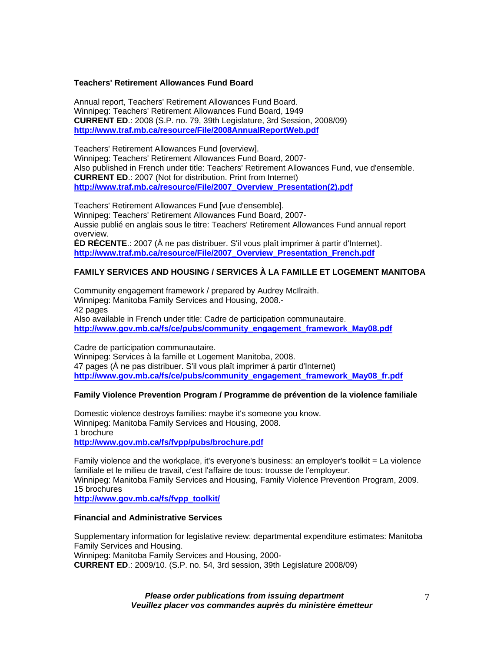#### **Teachers' Retirement Allowances Fund Board**

Annual report, Teachers' Retirement Allowances Fund Board. Winnipeg: Teachers' Retirement Allowances Fund Board, 1949 **CURRENT ED**.: 2008 (S.P. no. 79, 39th Legislature, 3rd Session, 2008/09) **<http://www.traf.mb.ca/resource/File/2008AnnualReportWeb.pdf>**

Teachers' Retirement Allowances Fund [overview]. Winnipeg: Teachers' Retirement Allowances Fund Board, 2007- Also published in French under title: Teachers' Retirement Allowances Fund, vue d'ensemble. **CURRENT ED**.: 2007 (Not for distribution. Print from Internet) **[http://www.traf.mb.ca/resource/File/2007\\_Overview\\_Presentation\(2\).pdf](http://www.traf.mb.ca/resource/File/2007_Overview_Presentation(2).pdf)**

Teachers' Retirement Allowances Fund [vue d'ensemble]. Winnipeg: Teachers' Retirement Allowances Fund Board, 2007- Aussie publié en anglais sous le titre: Teachers' Retirement Allowances Fund annual report overview. **ÉD RÉCENTE**.: 2007 (À ne pas distribuer. S'il vous plaît imprimer à partir d'Internet). **[http://www.traf.mb.ca/resource/File/2007\\_Overview\\_Presentation\\_French.pdf](http://www.traf.mb.ca/resource/File/2007_Overview_Presentation_French.pdf)**

## **FAMILY SERVICES AND HOUSING / SERVICES À LA FAMILLE ET LOGEMENT MANITOBA**

Community engagement framework / prepared by Audrey McIlraith. Winnipeg: Manitoba Family Services and Housing, 2008.- 42 pages Also available in French under title: Cadre de participation communautaire. **[http://www.gov.mb.ca/fs/ce/pubs/community\\_engagement\\_framework\\_May08.pdf](https://www.gov.mb.ca/fs/ce/pubs/community_engagement_framework_May08.pdf)**

Cadre de participation communautaire. Winnipeg: Services à la famille et Logement Manitoba, 2008. 47 pages (À ne pas distribuer. S'il vous plaît imprimer á partir d'Internet) **[http://www.gov.mb.ca/fs/ce/pubs/community\\_engagement\\_framework\\_May08\\_fr.pdf](https://www.gov.mb.ca/fs/ce/pubs/community_engagement_framework_May08_fr.pdf)**

#### **Family Violence Prevention Program / Programme de prévention de la violence familiale**

Domestic violence destroys families: maybe it's someone you know. Winnipeg: Manitoba Family Services and Housing, 2008. 1 brochure **[http://www.gov.mb.ca/fs/fvpp/pubs/brochure.pdf](https://www.gov.mb.ca/fs/fvpp/pubs/brochure.pdf)**

Family violence and the workplace, it's everyone's business: an employer's toolkit = La violence familiale et le milieu de travail, c'est l'affaire de tous: trousse de l'employeur. Winnipeg: Manitoba Family Services and Housing, Family Violence Prevention Program, 2009. 15 brochures

**[http://www.gov.mb.ca/fs/fvpp\\_toolkit/](https://www.gov.mb.ca/fs/fvpp_toolkit/)**

## **Financial and Administrative Services**

Supplementary information for legislative review: departmental expenditure estimates: Manitoba Family Services and Housing.

Winnipeg: Manitoba Family Services and Housing, 2000-

**CURRENT ED**.: 2009/10. (S.P. no. 54, 3rd session, 39th Legislature 2008/09)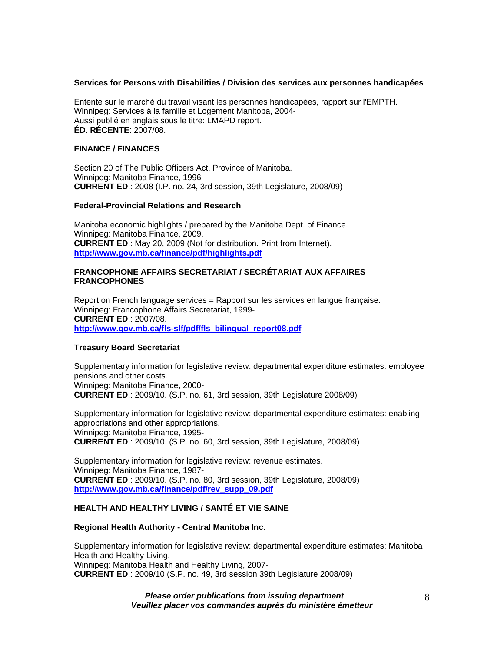#### **Services for Persons with Disabilities / Division des services aux personnes handicapées**

Entente sur le marché du travail visant les personnes handicapées, rapport sur l'EMPTH. Winnipeg: Services à la famille et Logement Manitoba, 2004- Aussi publié en anglais sous le titre: LMAPD report. **ÉD. RÉCENTE**: 2007/08.

# **FINANCE / FINANCES**

Section 20 of The Public Officers Act, Province of Manitoba. Winnipeg: Manitoba Finance, 1996- **CURRENT ED**.: 2008 (I.P. no. 24, 3rd session, 39th Legislature, 2008/09)

#### **Federal-Provincial Relations and Research**

Manitoba economic highlights / prepared by the Manitoba Dept. of Finance. Winnipeg: Manitoba Finance, 2009. **CURRENT ED**.: May 20, 2009 (Not for distribution. Print from Internet). **[http://www.gov.mb.ca/finance/pdf/highlights.pdf](https://www.gov.mb.ca/finance/pdf/highlights.pdf)**

#### **FRANCOPHONE AFFAIRS SECRETARIAT / SECRÉTARIAT AUX AFFAIRES FRANCOPHONES**

Report on French language services = Rapport sur les services en langue française. Winnipeg: Francophone Affairs Secretariat, 1999- **CURRENT ED**.: 2007/08. **[http://www.gov.mb.ca/fls-slf/pdf/fls\\_bilingual\\_report08.pdf](https://www.gov.mb.ca/fls-slf/pdf/fls_bilingual_report08.pdf)**

#### **Treasury Board Secretariat**

Supplementary information for legislative review: departmental expenditure estimates: employee pensions and other costs. Winnipeg: Manitoba Finance, 2000- **CURRENT ED**.: 2009/10. (S.P. no. 61, 3rd session, 39th Legislature 2008/09)

Supplementary information for legislative review: departmental expenditure estimates: enabling appropriations and other appropriations. Winnipeg: Manitoba Finance, 1995- **CURRENT ED**.: 2009/10. (S.P. no. 60, 3rd session, 39th Legislature, 2008/09)

Supplementary information for legislative review: revenue estimates. Winnipeg: Manitoba Finance, 1987- **CURRENT ED**.: 2009/10. (S.P. no. 80, 3rd session, 39th Legislature, 2008/09) **[http://www.gov.mb.ca/finance/pdf/rev\\_supp\\_09.pdf](https://www.gov.mb.ca/finance/pdf/rev_supp_09.pdf)**

# **HEALTH AND HEALTHY LIVING / SANTÉ ET VIE SAINE**

#### **Regional Health Authority - Central Manitoba Inc.**

Supplementary information for legislative review: departmental expenditure estimates: Manitoba Health and Healthy Living. Winnipeg: Manitoba Health and Healthy Living, 2007- **CURRENT ED**.: 2009/10 (S.P. no. 49, 3rd session 39th Legislature 2008/09)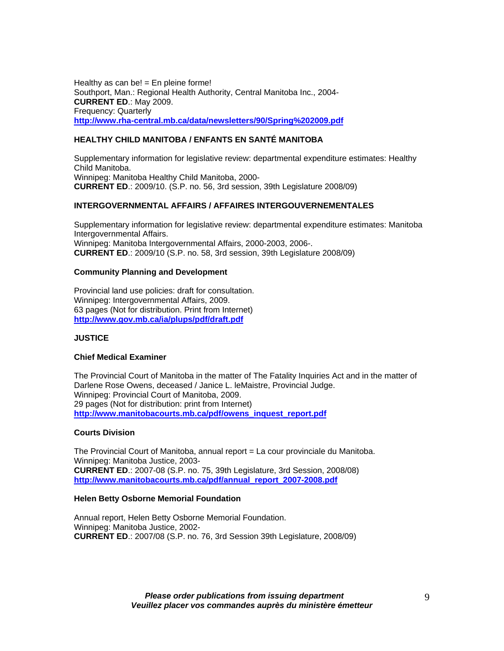Healthy as can be!  $=$  En pleine forme! Southport, Man.: Regional Health Authority, Central Manitoba Inc., 2004- **CURRENT ED**.: May 2009. Frequency: Quarterly **<http://www.rha-central.mb.ca/data/newsletters/90/Spring%202009.pdf>**

# **HEALTHY CHILD MANITOBA / ENFANTS EN SANTÉ MANITOBA**

Supplementary information for legislative review: departmental expenditure estimates: Healthy Child Manitoba. Winnipeg: Manitoba Healthy Child Manitoba, 2000- **CURRENT ED**.: 2009/10. (S.P. no. 56, 3rd session, 39th Legislature 2008/09)

## **INTERGOVERNMENTAL AFFAIRS / AFFAIRES INTERGOUVERNEMENTALES**

Supplementary information for legislative review: departmental expenditure estimates: Manitoba Intergovernmental Affairs. Winnipeg: Manitoba Intergovernmental Affairs, 2000-2003, 2006-. **CURRENT ED**.: 2009/10 (S.P. no. 58, 3rd session, 39th Legislature 2008/09)

#### **Community Planning and Development**

Provincial land use policies: draft for consultation. Winnipeg: Intergovernmental Affairs, 2009. 63 pages (Not for distribution. Print from Internet) **[http://www.gov.mb.ca/ia/plups/pdf/draft.pdf](https://www.gov.mb.ca/ia/plups/pdf/draft.pdf)**

#### **JUSTICE**

## **Chief Medical Examiner**

The Provincial Court of Manitoba in the matter of The Fatality Inquiries Act and in the matter of Darlene Rose Owens, deceased / Janice L. leMaistre, Provincial Judge. Winnipeg: Provincial Court of Manitoba, 2009. 29 pages (Not for distribution: print from Internet) **[http://www.manitobacourts.mb.ca/pdf/owens\\_inquest\\_report.pdf](https://www.manitobacourts.mb.ca/pdf/owens_inquest_report.pdf)**

#### **Courts Division**

The Provincial Court of Manitoba, annual report = La cour provinciale du Manitoba. Winnipeg: Manitoba Justice, 2003- **CURRENT ED**.: 2007-08 (S.P. no. 75, 39th Legislature, 3rd Session, 2008/08) **[http://www.manitobacourts.mb.ca/pdf/annual\\_report\\_2007-2008.pdf](https://www.manitobacourts.mb.ca/pdf/annual_report_2007-2008.pdf)**

#### **Helen Betty Osborne Memorial Foundation**

Annual report, Helen Betty Osborne Memorial Foundation. Winnipeg: Manitoba Justice, 2002- **CURRENT ED**.: 2007/08 (S.P. no. 76, 3rd Session 39th Legislature, 2008/09)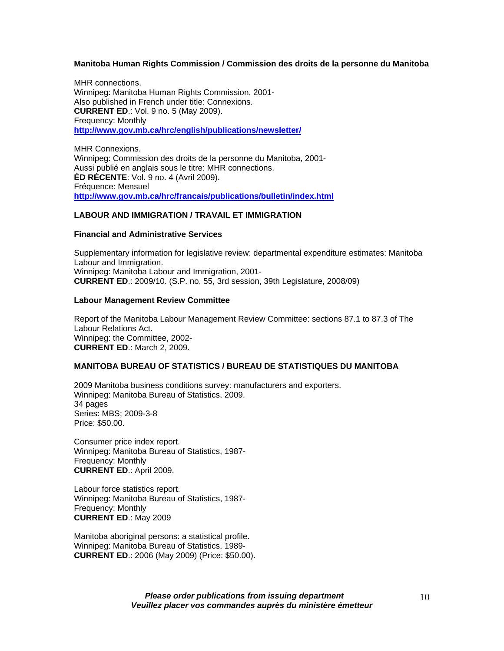#### **Manitoba Human Rights Commission / Commission des droits de la personne du Manitoba**

MHR connections. Winnipeg: Manitoba Human Rights Commission, 2001- Also published in French under title: Connexions. **CURRENT ED**.: Vol. 9 no. 5 (May 2009). Frequency: Monthly **[http://www.gov.mb.ca/hrc/english/publications/newsletter/](https://www.gov.mb.ca/hrc/english/publications/newsletter/)**

MHR Connexions. Winnipeg: Commission des droits de la personne du Manitoba, 2001- Aussi publié en anglais sous le titre: MHR connections. **ÉD RÉCENTE**: Vol. 9 no. 4 (Avril 2009). Fréquence: Mensuel **[http://www.gov.mb.ca/hrc/francais/publications/bulletin/index.html](https://www.gov.mb.ca/hrc/francais/publications/bulletin/index.html)**

## **LABOUR AND IMMIGRATION / TRAVAIL ET IMMIGRATION**

#### **Financial and Administrative Services**

Supplementary information for legislative review: departmental expenditure estimates: Manitoba Labour and Immigration. Winnipeg: Manitoba Labour and Immigration, 2001- **CURRENT ED**.: 2009/10. (S.P. no. 55, 3rd session, 39th Legislature, 2008/09)

#### **Labour Management Review Committee**

Report of the Manitoba Labour Management Review Committee: sections 87.1 to 87.3 of The Labour Relations Act. Winnipeg: the Committee, 2002- **CURRENT ED**.: March 2, 2009.

# **MANITOBA BUREAU OF STATISTICS / BUREAU DE STATISTIQUES DU MANITOBA**

2009 Manitoba business conditions survey: manufacturers and exporters. Winnipeg: Manitoba Bureau of Statistics, 2009. 34 pages Series: MBS; 2009-3-8 Price: \$50.00.

Consumer price index report. Winnipeg: Manitoba Bureau of Statistics, 1987- Frequency: Monthly **CURRENT ED**.: April 2009.

Labour force statistics report. Winnipeg: Manitoba Bureau of Statistics, 1987- Frequency: Monthly **CURRENT ED**.: May 2009

Manitoba aboriginal persons: a statistical profile. Winnipeg: Manitoba Bureau of Statistics, 1989- **CURRENT ED**.: 2006 (May 2009) (Price: \$50.00).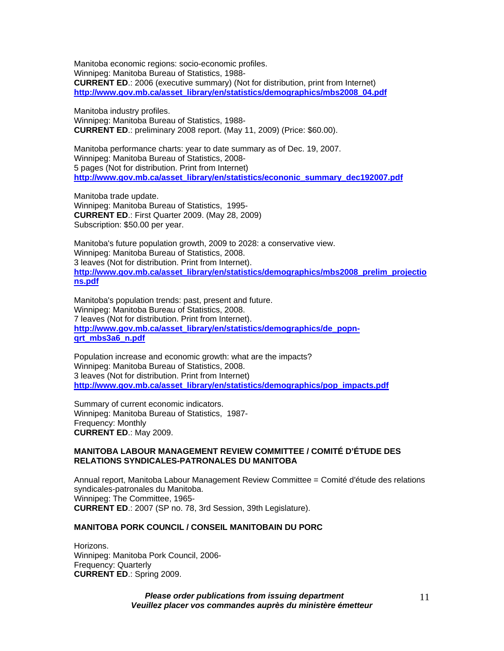Manitoba economic regions: socio-economic profiles. Winnipeg: Manitoba Bureau of Statistics, 1988- **CURRENT ED**.: 2006 (executive summary) (Not for distribution, print from Internet) **[http://www.gov.mb.ca/asset\\_library/en/statistics/demographics/mbs2008\\_04.pdf](https://www.gov.mb.ca/asset_library/en/statistics/demographics/mbs2008_04.pdf)**

Manitoba industry profiles. Winnipeg: Manitoba Bureau of Statistics, 1988- **CURRENT ED**.: preliminary 2008 report. (May 11, 2009) (Price: \$60.00).

Manitoba performance charts: year to date summary as of Dec. 19, 2007. Winnipeg: Manitoba Bureau of Statistics, 2008- 5 pages (Not for distribution. Print from Internet) **[http://www.gov.mb.ca/asset\\_library/en/statistics/econonic\\_summary\\_dec192007.pdf](https://www.gov.mb.ca/asset_library/en/statistics/econonic_summary_dec192007.pdf)**

Manitoba trade update. Winnipeg: Manitoba Bureau of Statistics, 1995- **CURRENT ED**.: First Quarter 2009. (May 28, 2009) Subscription: \$50.00 per year.

Manitoba's future population growth, 2009 to 2028: a conservative view. Winnipeg: Manitoba Bureau of Statistics, 2008. 3 leaves (Not for distribution. Print from Internet). **[http://www.gov.mb.ca/asset\\_library/en/statistics/demographics/mbs2008\\_prelim\\_projectio](https://www.gov.mb.ca/asset_library/en/statistics/demographics/mbs2008_prelim_projections.pdf) [ns.pdf](https://www.gov.mb.ca/asset_library/en/statistics/demographics/mbs2008_prelim_projections.pdf)**

Manitoba's population trends: past, present and future. Winnipeg: Manitoba Bureau of Statistics, 2008. 7 leaves (Not for distribution. Print from Internet). **[http://www.gov.mb.ca/asset\\_library/en/statistics/demographics/de\\_popn](https://www.gov.mb.ca/asset_library/en/statistics/demographics/de_popn-qrt_mbs3a6_n.pdf)[qrt\\_mbs3a6\\_n.pdf](https://www.gov.mb.ca/asset_library/en/statistics/demographics/de_popn-qrt_mbs3a6_n.pdf)**

Population increase and economic growth: what are the impacts? Winnipeg: Manitoba Bureau of Statistics, 2008. 3 leaves (Not for distribution. Print from Internet) **[http://www.gov.mb.ca/asset\\_library/en/statistics/demographics/pop\\_impacts.pdf](https://www.gov.mb.ca/asset_library/en/statistics/demographics/pop_impacts.pdf)**

Summary of current economic indicators. Winnipeg: Manitoba Bureau of Statistics, 1987- Frequency: Monthly **CURRENT ED**.: May 2009.

#### **MANITOBA LABOUR MANAGEMENT REVIEW COMMITTEE / COMITÉ D'ÉTUDE DES RELATIONS SYNDICALES-PATRONALES DU MANITOBA**

Annual report, Manitoba Labour Management Review Committee = Comité d'étude des relations syndicales-patronales du Manitoba. Winnipeg: The Committee, 1965- **CURRENT ED**.: 2007 (SP no. 78, 3rd Session, 39th Legislature).

# **MANITOBA PORK COUNCIL / CONSEIL MANITOBAIN DU PORC**

Horizons. Winnipeg: Manitoba Pork Council, 2006- Frequency: Quarterly **CURRENT ED**.: Spring 2009.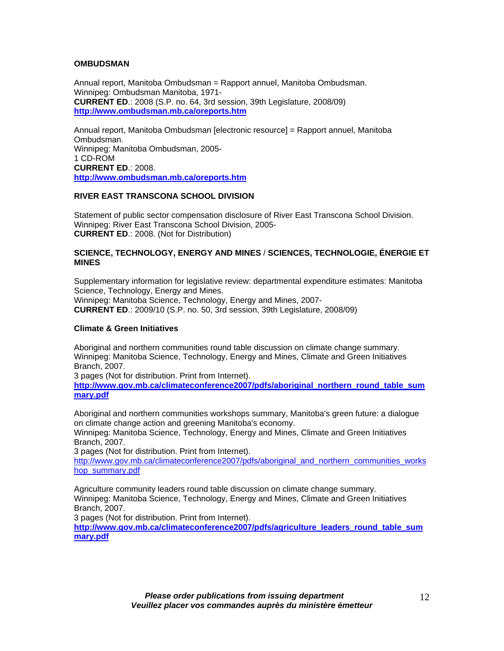## **OMBUDSMAN**

Annual report, Manitoba Ombudsman = Rapport annuel, Manitoba Ombudsman. Winnipeg: Ombudsman Manitoba, 1971- **CURRENT ED**.: 2008 (S.P. no. 64, 3rd session, 39th Legislature, 2008/09) **<http://www.ombudsman.mb.ca/oreports.htm>**

Annual report, Manitoba Ombudsman [electronic resource] = Rapport annuel, Manitoba Ombudsman. Winnipeg: Manitoba Ombudsman, 2005- 1 CD-ROM **CURRENT ED**.: 2008. **<http://www.ombudsman.mb.ca/oreports.htm>**

## **RIVER EAST TRANSCONA SCHOOL DIVISION**

Statement of public sector compensation disclosure of River East Transcona School Division. Winnipeg: River East Transcona School Division, 2005- **CURRENT ED**.: 2008. (Not for Distribution)

## **SCIENCE, TECHNOLOGY, ENERGY AND MINES** / **SCIENCES, TECHNOLOGIE, ÉNERGIE ET MINES**

Supplementary information for legislative review: departmental expenditure estimates: Manitoba Science, Technology, Energy and Mines. Winnipeg: Manitoba Science, Technology, Energy and Mines, 2007- **CURRENT ED**.: 2009/10 (S.P. no. 50, 3rd session, 39th Legislature, 2008/09)

#### **Climate & Green Initiatives**

Aboriginal and northern communities round table discussion on climate change summary. Winnipeg: Manitoba Science, Technology, Energy and Mines, Climate and Green Initiatives Branch, 2007.

3 pages (Not for distribution. Print from Internet).

**[http://www.gov.mb.ca/climateconference2007/pdfs/aboriginal\\_northern\\_round\\_table\\_sum](https://www.gov.mb.ca/climateconference2007/pdfs/aboriginal_northern_round_table_summary.pdf) [mary.pdf](https://www.gov.mb.ca/climateconference2007/pdfs/aboriginal_northern_round_table_summary.pdf)**

Aboriginal and northern communities workshops summary, Manitoba's green future: a dialogue on climate change action and greening Manitoba's economy.

Winnipeg: Manitoba Science, Technology, Energy and Mines, Climate and Green Initiatives Branch, 2007.

3 pages (Not for distribution. Print from Internet).

[http://www.gov.mb.ca/climateconference2007/pdfs/aboriginal\\_and\\_northern\\_communities\\_works](https://www.gov.mb.ca/climateconference2007/pdfs/aboriginal_and_northern_communities_workshop_summary.pdf) [hop\\_summary.pdf](https://www.gov.mb.ca/climateconference2007/pdfs/aboriginal_and_northern_communities_workshop_summary.pdf)

Agriculture community leaders round table discussion on climate change summary. Winnipeg: Manitoba Science, Technology, Energy and Mines, Climate and Green Initiatives Branch, 2007.

3 pages (Not for distribution. Print from Internet).

**[http://www.gov.mb.ca/climateconference2007/pdfs/agriculture\\_leaders\\_round\\_table\\_sum](https://www.gov.mb.ca/climateconference2007/pdfs/agriculture_leaders_round_table_summary.pdf) [mary.pdf](https://www.gov.mb.ca/climateconference2007/pdfs/agriculture_leaders_round_table_summary.pdf)**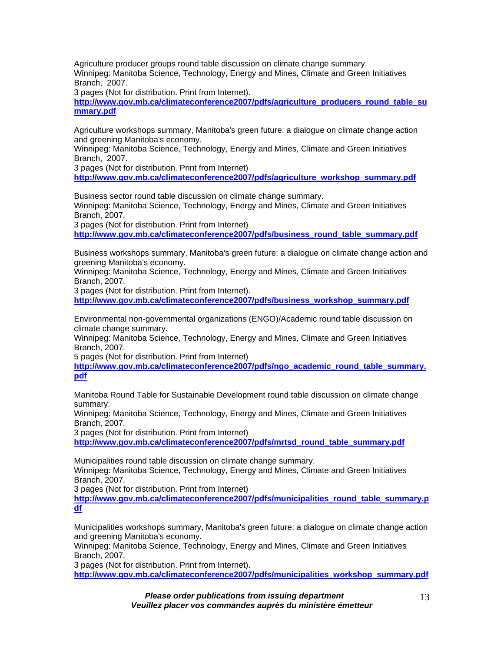Agriculture producer groups round table discussion on climate change summary. Winnipeg: Manitoba Science, Technology, Energy and Mines, Climate and Green Initiatives Branch, 2007.

3 pages (Not for distribution. Print from Internet).

**[http://www.gov.mb.ca/climateconference2007/pdfs/agriculture\\_producers\\_round\\_table\\_su](https://www.gov.mb.ca/climateconference2007/pdfs/agriculture_producers_round_table_summary.pdf) [mmary.pdf](https://www.gov.mb.ca/climateconference2007/pdfs/agriculture_producers_round_table_summary.pdf)**

Agriculture workshops summary, Manitoba's green future: a dialogue on climate change action and greening Manitoba's economy.

Winnipeg: Manitoba Science, Technology, Energy and Mines, Climate and Green Initiatives Branch, 2007.

3 pages (Not for distribution. Print from Internet)

**[http://www.gov.mb.ca/climateconference2007/pdfs/agriculture\\_workshop\\_summary.pdf](https://www.gov.mb.ca/climateconference2007/pdfs/agriculture_workshop_summary.pdf)**

Business sector round table discussion on climate change summary. Winnipeg: Manitoba Science, Technology, Energy and Mines, Climate and Green Initiatives Branch, 2007.

3 pages (Not for distribution. Print from Internet)

**[http://www.gov.mb.ca/climateconference2007/pdfs/business\\_round\\_table\\_summary.pdf](https://www.gov.mb.ca/climateconference2007/pdfs/business_round_table_summary.pdf)**

Business workshops summary, Manitoba's green future: a dialogue on climate change action and greening Manitoba's economy.

Winnipeg: Manitoba Science, Technology, Energy and Mines, Climate and Green Initiatives Branch, 2007.

3 pages (Not for distribution. Print from Internet).

**[http://www.gov.mb.ca/climateconference2007/pdfs/business\\_workshop\\_summary.pdf](https://www.gov.mb.ca/climateconference2007/pdfs/business_workshop_summary.pdf)**

Environmental non-governmental organizations (ENGO)/Academic round table discussion on climate change summary.

Winnipeg: Manitoba Science, Technology, Energy and Mines, Climate and Green Initiatives Branch, 2007.

5 pages (Not for distribution. Print from Internet)

**[http://www.gov.mb.ca/climateconference2007/pdfs/ngo\\_academic\\_round\\_table\\_summary.](https://www.gov.mb.ca/climateconference2007/pdfs/ngo_academic_round_table_summary.pdf) [pdf](https://www.gov.mb.ca/climateconference2007/pdfs/ngo_academic_round_table_summary.pdf)**

Manitoba Round Table for Sustainable Development round table discussion on climate change summary.

Winnipeg: Manitoba Science, Technology, Energy and Mines, Climate and Green Initiatives Branch, 2007.

3 pages (Not for distribution. Print from Internet)

**[http://www.gov.mb.ca/climateconference2007/pdfs/mrtsd\\_round\\_table\\_summary.pdf](https://www.gov.mb.ca/climateconference2007/pdfs/mrtsd_round_table_summary.pdf)**

Municipalities round table discussion on climate change summary.

Winnipeg: Manitoba Science, Technology, Energy and Mines, Climate and Green Initiatives Branch, 2007.

3 pages (Not for distribution. Print from Internet)

**[http://www.gov.mb.ca/climateconference2007/pdfs/municipalities\\_round\\_table\\_summary.p](https://www.gov.mb.ca/climateconference2007/pdfs/municipalities_round_table_summary.pdf) [df](https://www.gov.mb.ca/climateconference2007/pdfs/municipalities_round_table_summary.pdf)**

Municipalities workshops summary, Manitoba's green future: a dialogue on climate change action and greening Manitoba's economy.

Winnipeg: Manitoba Science, Technology, Energy and Mines, Climate and Green Initiatives Branch, 2007.

3 pages (Not for distribution. Print from Internet).

**[http://www.gov.mb.ca/climateconference2007/pdfs/municipalities\\_workshop\\_summary.pdf](https://www.gov.mb.ca/climateconference2007/pdfs/municipalities_workshop_summary.pdf)**